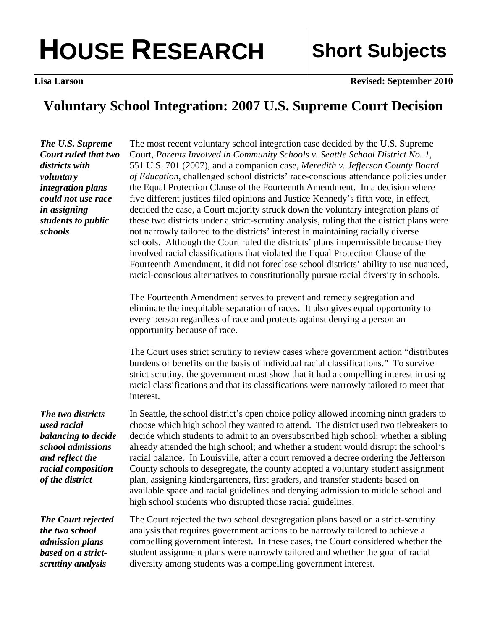## **HOUSE RESEARCH Short Subjects**

**Lisa Larson Revised: September 2010** 

## **Voluntary School Integration: 2007 U.S. Supreme Court Decision**

*The U.S. Supreme Court ruled that two districts with voluntary integration plans could not use race in assigning students to public schools* 

The most recent voluntary school integration case decided by the U.S. Supreme Court, *Parents Involved in Community Schools v. Seattle School District No. 1*, 551 U.S. 701 (2007), and a companion case, *Meredith v. Jefferson County Board of Education*, challenged school districts' race-conscious attendance policies under the Equal Protection Clause of the Fourteenth Amendment. In a decision where five different justices filed opinions and Justice Kennedy's fifth vote, in effect, decided the case, a Court majority struck down the voluntary integration plans of these two districts under a strict-scrutiny analysis, ruling that the district plans were not narrowly tailored to the districts' interest in maintaining racially diverse schools. Although the Court ruled the districts' plans impermissible because they involved racial classifications that violated the Equal Protection Clause of the Fourteenth Amendment, it did not foreclose school districts' ability to use nuanced, racial-conscious alternatives to constitutionally pursue racial diversity in schools.

The Fourteenth Amendment serves to prevent and remedy segregation and eliminate the inequitable separation of races. It also gives equal opportunity to every person regardless of race and protects against denying a person an opportunity because of race.

The Court uses strict scrutiny to review cases where government action "distributes burdens or benefits on the basis of individual racial classifications." To survive strict scrutiny, the government must show that it had a compelling interest in using racial classifications and that its classifications were narrowly tailored to meet that interest.

*The two districts used racial balancing to decide school admissions and reflect the racial composition of the district* 

In Seattle, the school district's open choice policy allowed incoming ninth graders to choose which high school they wanted to attend. The district used two tiebreakers to decide which students to admit to an oversubscribed high school: whether a sibling already attended the high school; and whether a student would disrupt the school's racial balance. In Louisville, after a court removed a decree ordering the Jefferson County schools to desegregate, the county adopted a voluntary student assignment plan, assigning kindergarteners, first graders, and transfer students based on available space and racial guidelines and denying admission to middle school and high school students who disrupted those racial guidelines.

*The Court rejected the two school admission plans based on a strictscrutiny analysis* 

The Court rejected the two school desegregation plans based on a strict-scrutiny analysis that requires government actions to be narrowly tailored to achieve a compelling government interest. In these cases, the Court considered whether the student assignment plans were narrowly tailored and whether the goal of racial diversity among students was a compelling government interest.